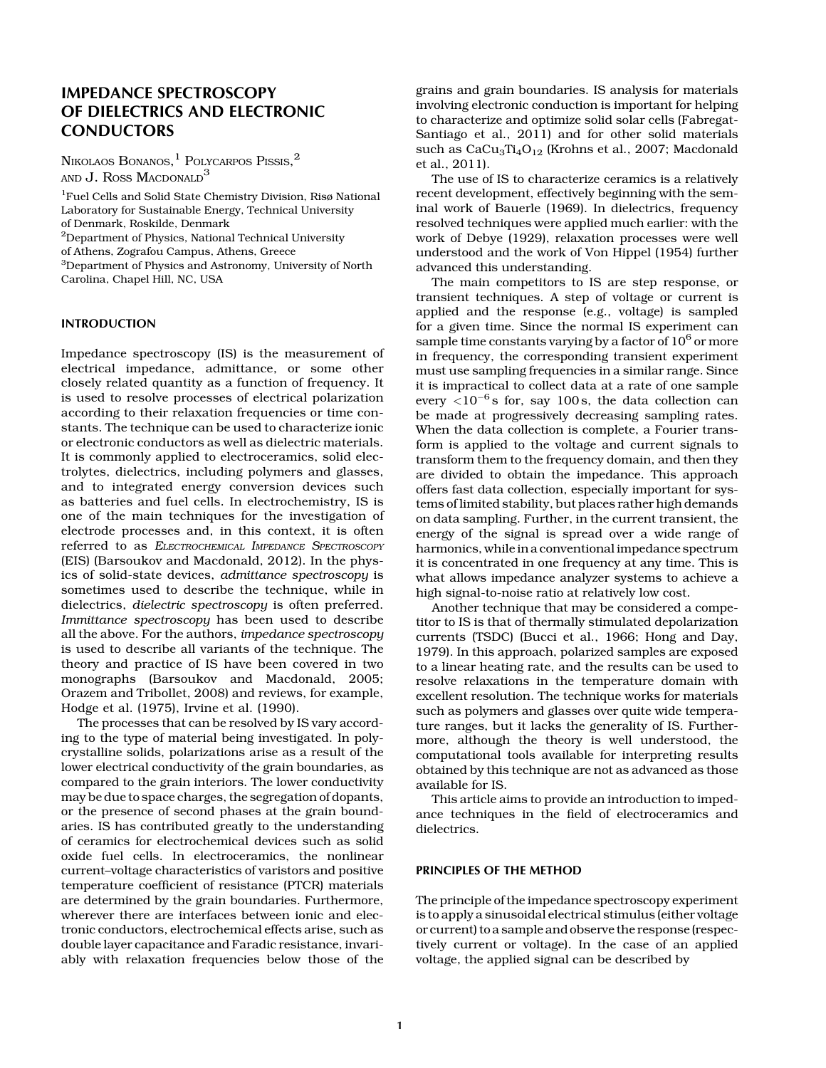# IMPEDANCE SPECTROSCOPY OF DIELECTRICS AND ELECTRONIC **CONDUCTORS**

NIKOLAOS BONANOS, <sup>1</sup> POLYCARPOS PISSIS, 2 AND J. ROSS MACDONALD<sup>3</sup>

1 Fuel Cells and Solid State Chemistry Division, Risø National Laboratory for Sustainable Energy, Technical University of Denmark, Roskilde, Denmark

 $^{2}$ Department of Physics, National Technical University

of Athens, Zografou Campus, Athens, Greece

 ${}^{3}$ Department of Physics and Astronomy, University of North Carolina, Chapel Hill, NC, USA

## INTRODUCTION

Impedance spectroscopy (IS) is the measurement of electrical impedance, admittance, or some other closely related quantity as a function of frequency. It is used to resolve processes of electrical polarization according to their relaxation frequencies or time constants. The technique can be used to characterize ionic or electronic conductors as well as dielectric materials. It is commonly applied to electroceramics, solid electrolytes, dielectrics, including polymers and glasses, and to integrated energy conversion devices such as batteries and fuel cells. In electrochemistry, IS is one of the main techniques for the investigation of electrode processes and, in this context, it is often referred to as ELECTROCHEMICAL IMPEDANCE SPECTROSCOPY (EIS) (Barsoukov and Macdonald, 2012). In the physics of solid-state devices, admittance spectroscopy is sometimes used to describe the technique, while in dielectrics, dielectric spectroscopy is often preferred. Immittance spectroscopy has been used to describe all the above. For the authors, impedance spectroscopy is used to describe all variants of the technique. The theory and practice of IS have been covered in two monographs (Barsoukov and Macdonald, 2005; Orazem and Tribollet, 2008) and reviews, for example, Hodge et al. (1975), Irvine et al. (1990).

The processes that can be resolved by IS vary according to the type of material being investigated. In polycrystalline solids, polarizations arise as a result of the lower electrical conductivity of the grain boundaries, as compared to the grain interiors. The lower conductivity may be due to space charges, the segregation of dopants, or the presence of second phases at the grain boundaries. IS has contributed greatly to the understanding of ceramics for electrochemical devices such as solid oxide fuel cells. In electroceramics, the nonlinear current–voltage characteristics of varistors and positive temperature coefficient of resistance (PTCR) materials are determined by the grain boundaries. Furthermore, wherever there are interfaces between ionic and electronic conductors, electrochemical effects arise, such as double layer capacitance and Faradic resistance, invariably with relaxation frequencies below those of the grains and grain boundaries. IS analysis for materials involving electronic conduction is important for helping to characterize and optimize solid solar cells (Fabregat-Santiago et al., 2011) and for other solid materials such as  $CaCu<sub>3</sub>Ti<sub>4</sub>O<sub>12</sub>$  (Krohns et al., 2007; Macdonald et al., 2011).

The use of IS to characterize ceramics is a relatively recent development, effectively beginning with the seminal work of Bauerle (1969). In dielectrics, frequency resolved techniques were applied much earlier: with the work of Debye (1929), relaxation processes were well understood and the work of Von Hippel (1954) further advanced this understanding.

The main competitors to IS are step response, or transient techniques. A step of voltage or current is applied and the response (e.g., voltage) is sampled for a given time. Since the normal IS experiment can sample time constants varying by a factor of  $10^6$  or more in frequency, the corresponding transient experiment must use sampling frequencies in a similar range. Since it is impractical to collect data at a rate of one sample every  $\sqrt{6}$  s for, say 100 s, the data collection can be made at progressively decreasing sampling rates. When the data collection is complete, a Fourier transform is applied to the voltage and current signals to transform them to the frequency domain, and then they are divided to obtain the impedance. This approach offers fast data collection, especially important for systems of limited stability, but places rather high demands on data sampling. Further, in the current transient, the energy of the signal is spread over a wide range of harmonics, while in a conventional impedance spectrum it is concentrated in one frequency at any time. This is what allows impedance analyzer systems to achieve a high signal-to-noise ratio at relatively low cost.

Another technique that may be considered a competitor to IS is that of thermally stimulated depolarization currents (TSDC) (Bucci et al., 1966; Hong and Day, 1979). In this approach, polarized samples are exposed to a linear heating rate, and the results can be used to resolve relaxations in the temperature domain with excellent resolution. The technique works for materials such as polymers and glasses over quite wide temperature ranges, but it lacks the generality of IS. Furthermore, although the theory is well understood, the computational tools available for interpreting results obtained by this technique are not as advanced as those available for IS.

This article aims to provide an introduction to impedance techniques in the field of electroceramics and dielectrics.

#### PRINCIPLES OF THE METHOD

The principle of the impedance spectroscopy experiment is to apply a sinusoidal electrical stimulus (either voltage or current) to a sample and observe the response (respectively current or voltage). In the case of an applied voltage, the applied signal can be described by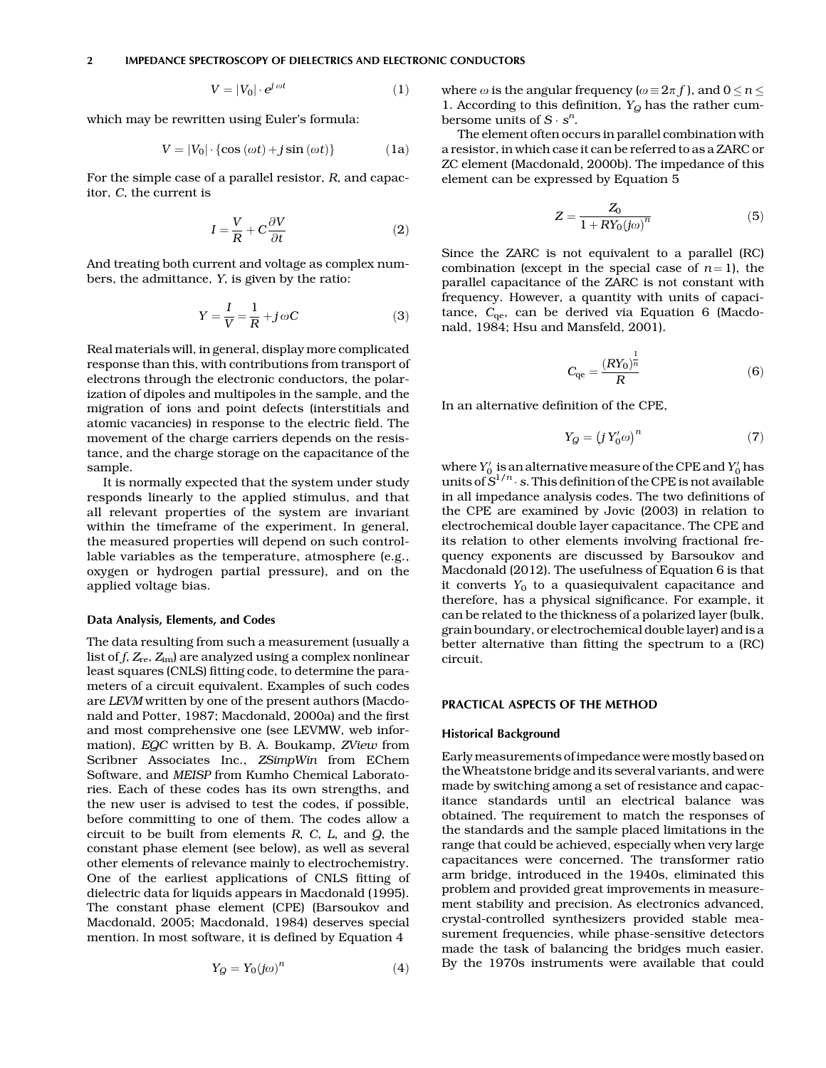$$
V = |V_0| \cdot e^{j \omega t} \tag{1}
$$

which may be rewritten using Euler's formula:

$$
V = |V_0| \cdot \{ \cos(\omega t) + j \sin(\omega t) \}
$$
 (1a)

For the simple case of a parallel resistor, R, and capacitor, C, the current is

$$
I = \frac{V}{R} + C\frac{\partial V}{\partial t}
$$
 (2)

And treating both current and voltage as complex numbers, the admittance, Y, is given by the ratio:

$$
Y = \frac{I}{V} = \frac{1}{R} + j\,\omega C\tag{3}
$$

Real materials will, in general, display more complicated response than this, with contributions from transport of electrons through the electronic conductors, the polarization of dipoles and multipoles in the sample, and the migration of ions and point defects (interstitials and atomic vacancies) in response to the electric field. The movement of the charge carriers depends on the resistance, and the charge storage on the capacitance of the sample.

It is normally expected that the system under study responds linearly to the applied stimulus, and that all relevant properties of the system are invariant within the timeframe of the experiment. In general, the measured properties will depend on such controllable variables as the temperature, atmosphere (e.g., oxygen or hydrogen partial pressure), and on the applied voltage bias.

#### Data Analysis, Elements, and Codes

The data resulting from such a measurement (usually a list of  $f$ ,  $Z_{\text{re}}$ ,  $Z_{\text{im}}$ ) are analyzed using a complex nonlinear least squares (CNLS) fitting code, to determine the parameters of a circuit equivalent. Examples of such codes are LEVM written by one of the present authors (Macdonald and Potter, 1987; Macdonald, 2000a) and the first and most comprehensive one (see LEVMW, web information), EQC written by B. A. Boukamp, ZView from Scribner Associates Inc., ZSimpWin from EChem Software, and MEISP from Kumho Chemical Laboratories. Each of these codes has its own strengths, and the new user is advised to test the codes, if possible, before committing to one of them. The codes allow a circuit to be built from elements  $R$ ,  $C$ ,  $L$ , and  $Q$ , the constant phase element (see below), as well as several other elements of relevance mainly to electrochemistry. One of the earliest applications of CNLS fitting of dielectric data for liquids appears in Macdonald (1995). The constant phase element (CPE) (Barsoukov and Macdonald, 2005; Macdonald, 1984) deserves special mention. In most software, it is defined by Equation 4

$$
Y_Q = Y_0 (j\omega)^n \tag{4}
$$

where  $\omega$  is the angular frequency ( $\omega = 2\pi f$ ), and  $0 \le n \le$ 1. According to this definition,  $Y_Q$  has the rather cumbersome units of  $S \cdot s^n$ .<br>The element often occ

The element often occurs in parallel combination with a resistor, in which case it can be referred to as a ZARC or ZC element (Macdonald, 2000b). The impedance of this element can be expressed by Equation 5

$$
Z = \frac{Z_0}{1 + RY_0(j\omega)^n} \tag{5}
$$

Since the ZARC is not equivalent to a parallel (RC) combination (except in the special case of  $n = 1$ ), the parallel capacitance of the ZARC is not constant with frequency. However, a quantity with units of capacitance,  $C_{\text{qe}}$ , can be derived via Equation 6 (Macdonald, 1984; Hsu and Mansfeld, 2001).

$$
C_{\rm qe} = \frac{(RY_0)^{\frac{1}{n}}}{R}
$$
 (6)

In an alternative definition of the CPE,

$$
Y_Q = (j Y'_0 \omega)^n \tag{7}
$$

where  $Y_0'$  is an alternative measure of the CPE and  $Y_0'$  has units of  $S^{1/n}$  · s. This definition of the CPE is not available in all impedance analysis codes. The two definitions of the CPE are examined by Jovic (2003) in relation to electrochemical double layer capacitance. The CPE and its relation to other elements involving fractional frequency exponents are discussed by Barsoukov and Macdonald (2012). The usefulness of Equation 6 is that it converts  $Y_0$  to a quasiequivalent capacitance and therefore, has a physical significance. For example, it can be related to the thickness of a polarized layer (bulk, grain boundary, or electrochemical double layer) and is a better alternative than fitting the spectrum to a (RC) circuit.

#### PRACTICAL ASPECTS OF THE METHOD

### Historical Background

Early measurements of impedance were mostly based on the Wheatstone bridge and its several variants, and were made by switching among a set of resistance and capacitance standards until an electrical balance was obtained. The requirement to match the responses of the standards and the sample placed limitations in the range that could be achieved, especially when very large capacitances were concerned. The transformer ratio arm bridge, introduced in the 1940s, eliminated this problem and provided great improvements in measurement stability and precision. As electronics advanced, crystal-controlled synthesizers provided stable measurement frequencies, while phase-sensitive detectors made the task of balancing the bridges much easier. By the 1970s instruments were available that could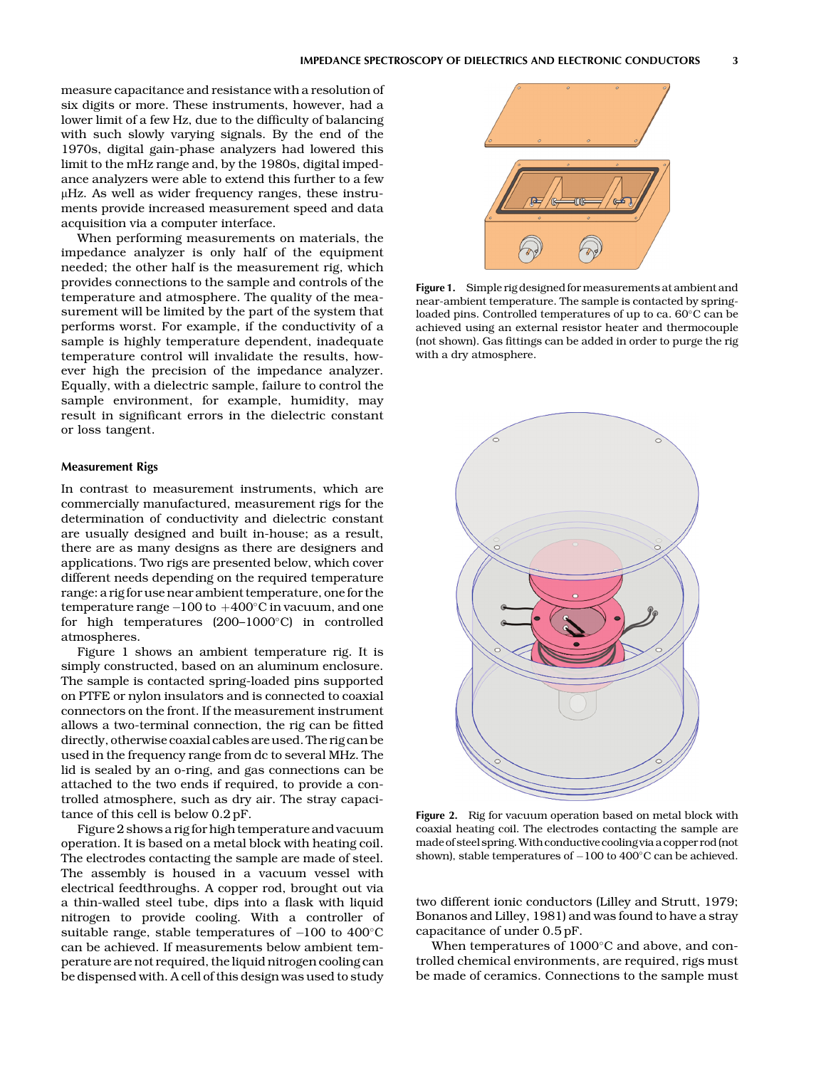measure capacitance and resistance with a resolution of six digits or more. These instruments, however, had a lower limit of a few Hz, due to the difficulty of balancing with such slowly varying signals. By the end of the 1970s, digital gain-phase analyzers had lowered this limit to the mHz range and, by the 1980s, digital impedance analyzers were able to extend this further to a few µHz. As well as wider frequency ranges, these instruments provide increased measurement speed and data acquisition via a computer interface.

When performing measurements on materials, the impedance analyzer is only half of the equipment needed; the other half is the measurement rig, which provides connections to the sample and controls of the temperature and atmosphere. The quality of the measurement will be limited by the part of the system that performs worst. For example, if the conductivity of a sample is highly temperature dependent, inadequate temperature control will invalidate the results, however high the precision of the impedance analyzer. Equally, with a dielectric sample, failure to control the sample environment, for example, humidity, may result in significant errors in the dielectric constant or loss tangent.

#### Measurement Rigs

In contrast to measurement instruments, which are commercially manufactured, measurement rigs for the determination of conductivity and dielectric constant are usually designed and built in-house; as a result, there are as many designs as there are designers and applications. Two rigs are presented below, which cover different needs depending on the required temperature range: a rig for use near ambient temperature, one for the temperature range  $-100$  to  $+400^{\circ}$ C in vacuum, and one for high temperatures  $(200-1000)$ °C) in controlled atmospheres.

Figure 1 shows an ambient temperature rig. It is simply constructed, based on an aluminum enclosure. The sample is contacted spring-loaded pins supported on PTFE or nylon insulators and is connected to coaxial connectors on the front. If the measurement instrument allows a two-terminal connection, the rig can be fitted directly, otherwise coaxial cables are used. The rig can be used in the frequency range from dc to several MHz. The lid is sealed by an o-ring, and gas connections can be attached to the two ends if required, to provide a controlled atmosphere, such as dry air. The stray capacitance of this cell is below 0.2 pF.

Figure 2 shows a rig for high temperature and vacuum operation. It is based on a metal block with heating coil. The electrodes contacting the sample are made of steel. The assembly is housed in a vacuum vessel with electrical feedthroughs. A copper rod, brought out via a thin-walled steel tube, dips into a flask with liquid nitrogen to provide cooling. With a controller of suitable range, stable temperatures of  $-100$  to  $400^{\circ}$ C can be achieved. If measurements below ambient temperature are not required, the liquid nitrogen cooling can be dispensed with. A cell of this design was used to study



Figure 1. Simple rig designed formeasurements at ambient and near-ambient temperature. The sample is contacted by springloaded pins. Controlled temperatures of up to ca.  $60^{\circ}{\rm C}$  can be achieved using an external resistor heater and thermocouple (not shown). Gas fittings can be added in order to purge the rig with a dry atmosphere.



Figure 2. Rig for vacuum operation based on metal block with coaxial heating coil. The electrodes contacting the sample are made of steel spring.With conductive cooling via a copper rod (not shown), stable temperatures of  $-100$  to  $400^{\circ}$ C can be achieved.

two different ionic conductors (Lilley and Strutt, 1979; Bonanos and Lilley, 1981) and was found to have a stray capacitance of under 0.5 pF.

When temperatures of  $1000^{\circ}$ C and above, and controlled chemical environments, are required, rigs must be made of ceramics. Connections to the sample must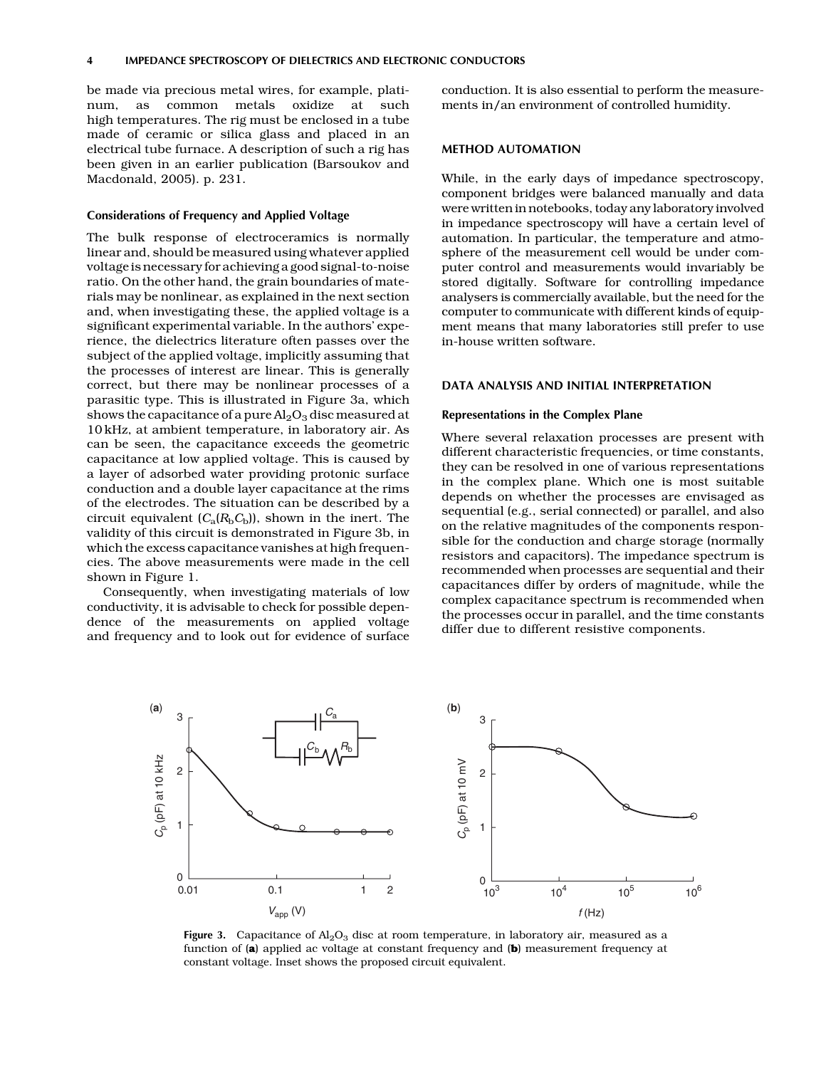be made via precious metal wires, for example, platinum, as common metals oxidize at such high temperatures. The rig must be enclosed in a tube made of ceramic or silica glass and placed in an electrical tube furnace. A description of such a rig has been given in an earlier publication (Barsoukov and Macdonald, 2005). p. 231.

## Considerations of Frequency and Applied Voltage

The bulk response of electroceramics is normally linear and, should be measured using whatever applied voltage is necessary for achieving a good signal-to-noise ratio. On the other hand, the grain boundaries of materials may be nonlinear, as explained in the next section and, when investigating these, the applied voltage is a significant experimental variable. In the authors' experience, the dielectrics literature often passes over the subject of the applied voltage, implicitly assuming that the processes of interest are linear. This is generally correct, but there may be nonlinear processes of a parasitic type. This is illustrated in Figure 3a, which shows the capacitance of a pure  $Al_2O_3$  disc measured at 10 kHz, at ambient temperature, in laboratory air. As can be seen, the capacitance exceeds the geometric capacitance at low applied voltage. This is caused by a layer of adsorbed water providing protonic surface conduction and a double layer capacitance at the rims of the electrodes. The situation can be described by a circuit equivalent  $(C_a(R_bC_b))$ , shown in the inert. The validity of this circuit is demonstrated in Figure 3b, in which the excess capacitance vanishes at high frequencies. The above measurements were made in the cell shown in Figure 1.

Consequently, when investigating materials of low conductivity, it is advisable to check for possible dependence of the measurements on applied voltage and frequency and to look out for evidence of surface

conduction. It is also essential to perform the measurements in/an environment of controlled humidity.

## METHOD AUTOMATION

While, in the early days of impedance spectroscopy, component bridges were balanced manually and data were written in notebooks, today any laboratory involved in impedance spectroscopy will have a certain level of automation. In particular, the temperature and atmosphere of the measurement cell would be under computer control and measurements would invariably be stored digitally. Software for controlling impedance analysers is commercially available, but the need for the computer to communicate with different kinds of equipment means that many laboratories still prefer to use in-house written software.

## DATA ANALYSIS AND INITIAL INTERPRETATION

#### Representations in the Complex Plane

Where several relaxation processes are present with different characteristic frequencies, or time constants, they can be resolved in one of various representations in the complex plane. Which one is most suitable depends on whether the processes are envisaged as sequential (e.g., serial connected) or parallel, and also on the relative magnitudes of the components responsible for the conduction and charge storage (normally resistors and capacitors). The impedance spectrum is recommended when processes are sequential and their capacitances differ by orders of magnitude, while the complex capacitance spectrum is recommended when the processes occur in parallel, and the time constants differ due to different resistive components.



Figure 3. Capacitance of  $A_2O_3$  disc at room temperature, in laboratory air, measured as a function of (a) applied ac voltage at constant frequency and (b) measurement frequency at constant voltage. Inset shows the proposed circuit equivalent.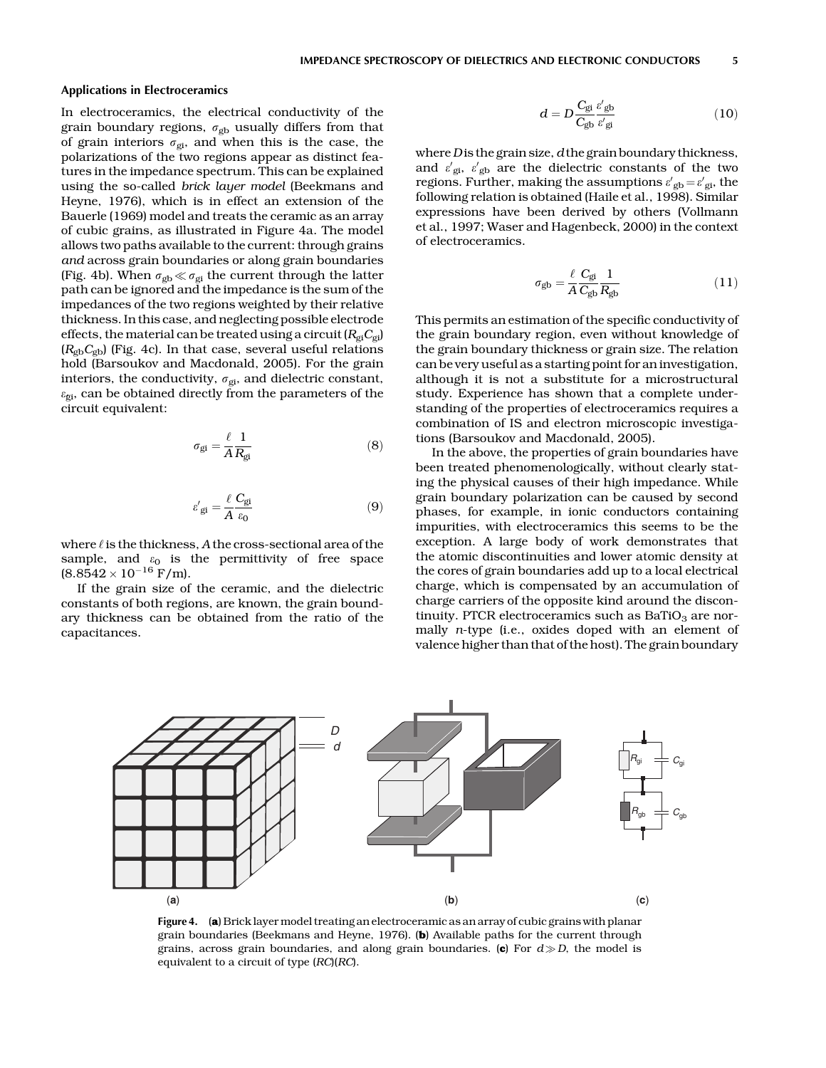### Applications in Electroceramics

In electroceramics, the electrical conductivity of the grain boundary regions,  $\sigma_{gb}$  usually differs from that of grain interiors  $\sigma_{gi}$ , and when this is the case, the polarizations of the two regions appear as distinct features in the impedance spectrum. This can be explained using the so-called brick layer model (Beekmans and Heyne, 1976), which is in effect an extension of the Bauerle (1969) model and treats the ceramic as an array of cubic grains, as illustrated in Figure 4a. The model allows two paths available to the current: through grains and across grain boundaries or along grain boundaries (Fig. 4b). When  $\sigma_{gb} \ll \sigma_{gi}$  the current through the latter path can be ignored and the impedance is the sum of the impedances of the two regions weighted by their relative thickness. In this case, and neglecting possible electrode effects, the material can be treated using a circuit  $(R_{gi}C_{gi})$  $(R_{gb}C_{gb})$  (Fig. 4c). In that case, several useful relations hold (Barsoukov and Macdonald, 2005). For the grain interiors, the conductivity,  $\sigma_{gi}$ , and dielectric constant,  $\varepsilon_{\text{gi}}$ , can be obtained directly from the parameters of the circuit equivalent:

$$
\sigma_{\rm gi} = \frac{\ell}{A} \frac{1}{R_{\rm gi}} \tag{8}
$$

$$
\varepsilon'_{gi} = \frac{\ell}{A} \frac{C_{gi}}{\varepsilon_0} \tag{9}
$$

where  $\ell$  is the thickness, A the cross-sectional area of the sample, and  $\varepsilon_0$  is the permittivity of free space  $(8.8542 \times 10^{-16} \text{ F/m}).$ 

If the grain size of the ceramic, and the dielectric constants of both regions, are known, the grain boundary thickness can be obtained from the ratio of the capacitances.

$$
d = D \frac{C_{gi}}{C_{gb}} \frac{\varepsilon'_{gb}}{\varepsilon'_{gi}}
$$
 (10)

where  $D$  is the grain size,  $d$  the grain boundary thickness, and  $\varepsilon'_{\rm gi},\ \varepsilon'_{\rm gb}$  are the dielectric constants of the two regions. Further, making the assumptions  $\varepsilon'_{\text{gb}} = \varepsilon'_{\text{gt}}$ , the<br>following relation is obtained (Haile et al., 1998). Similar following relation is obtained (Haile et al., 1998). Similar expressions have been derived by others (Vollmann et al., 1997; Waser and Hagenbeck, 2000) in the context of electroceramics.

$$
\sigma_{\text{gb}} = \frac{\ell}{A} \frac{C_{\text{gi}}}{C_{\text{gb}}} \frac{1}{R_{\text{gb}}} \tag{11}
$$

This permits an estimation of the specific conductivity of the grain boundary region, even without knowledge of the grain boundary thickness or grain size. The relation can be very useful as a starting point for an investigation, although it is not a substitute for a microstructural study. Experience has shown that a complete understanding of the properties of electroceramics requires a combination of IS and electron microscopic investigations (Barsoukov and Macdonald, 2005).

In the above, the properties of grain boundaries have been treated phenomenologically, without clearly stating the physical causes of their high impedance. While grain boundary polarization can be caused by second phases, for example, in ionic conductors containing impurities, with electroceramics this seems to be the exception. A large body of work demonstrates that the atomic discontinuities and lower atomic density at the cores of grain boundaries add up to a local electrical charge, which is compensated by an accumulation of charge carriers of the opposite kind around the discontinuity. PTCR electroceramics such as  $BaTiO<sub>3</sub>$  are normally n-type (i.e., oxides doped with an element of valence higher than that of the host). The grain boundary



Figure 4. (a) Brick layer model treating an electroceramic as an array of cubic grains with planar grain boundaries (Beekmans and Heyne, 1976). (b) Available paths for the current through grains, across grain boundaries, and along grain boundaries. (c) For  $d \gg D$ , the model is equivalent to a circuit of type (RC)(RC).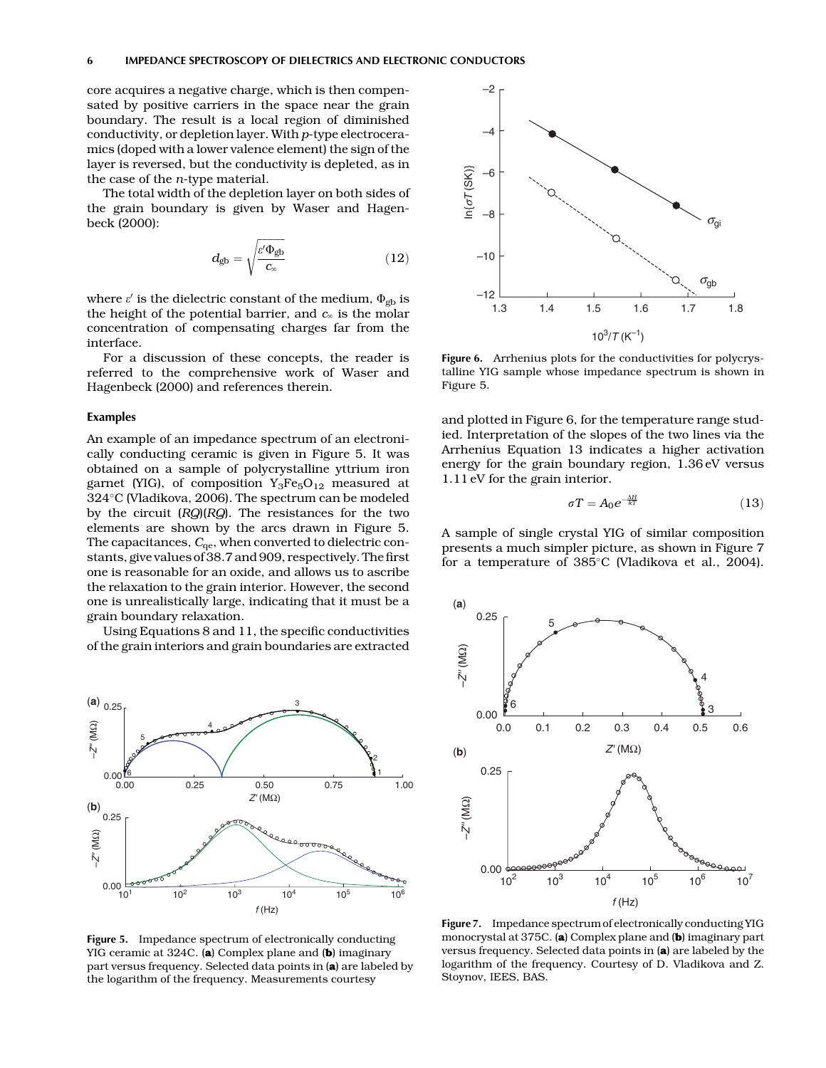core acquires a negative charge, which is then compensated by positive carriers in the space near the grain boundary. The result is a local region of diminished conductivity, or depletion layer. With p-type electroceramics (doped with a lower valence element) the sign of the layer is reversed, but the conductivity is depleted, as in the case of the n-type material.

The total width of the depletion layer on both sides of the grain boundary is given by Waser and Hagenbeck (2000):

$$
d_{\text{gb}} = \sqrt{\frac{\varepsilon' \Phi_{\text{gb}}}{c_{\infty}}} \tag{12}
$$

where  $\varepsilon'$  is the dielectric constant of the medium,  $\Phi_{gb}$  is the height of the potential barrier, and  $c_{\infty}$  is the molar concentration of compensating charges far from the interface.

For a discussion of these concepts, the reader is referred to the comprehensive work of Waser and Hagenbeck (2000) and references therein.

#### Examples

An example of an impedance spectrum of an electronically conducting ceramic is given in Figure 5. It was obtained on a sample of polycrystalline yttrium iron garnet (YIG), of composition  $Y_3Fe<sub>5</sub>O<sub>12</sub>$  measured at 324°C (Vladikova, 2006). The spectrum can be modeled by the circuit  $(RQ)(RQ)$ . The resistances for the two elements are shown by the arcs drawn in Figure 5. The capacitances,  $C_{qe}$ , when converted to dielectric constants, give values of 38.7 and 909, respectively. The first one is reasonable for an oxide, and allows us to ascribe the relaxation to the grain interior. However, the second one is unrealistically large, indicating that it must be a grain boundary relaxation.

Using Equations 8 and 11, the specific conductivities of the grain interiors and grain boundaries are extracted



Figure 5. Impedance spectrum of electronically conducting YIG ceramic at 324C. (a) Complex plane and (b) imaginary part versus frequency. Selected data points in (a) are labeled by the logarithm of the frequency. Measurements courtesy



Figure 6. Arrhenius plots for the conductivities for polycrystalline YIG sample whose impedance spectrum is shown in Figure 5.

and plotted in Figure 6, for the temperature range studied. Interpretation of the slopes of the two lines via the Arrhenius Equation 13 indicates a higher activation energy for the grain boundary region, 1.36 eV versus 1.11 eV for the grain interior.

$$
\sigma T = A_0 e^{-\frac{\Delta H}{kT}} \tag{13}
$$

A sample of single crystal YIG of similar composition presents a much simpler picture, as shown in Figure 7 for a temperature of  $385^{\circ}$ C (Vladikova et al., 2004).



Figure 7. Impedance spectrum of electronically conducting YIG monocrystal at 375C. (a) Complex plane and (b) imaginary part versus frequency. Selected data points in (a) are labeled by the logarithm of the frequency. Courtesy of D. Vladikova and Z. Stoynov, IEES, BAS.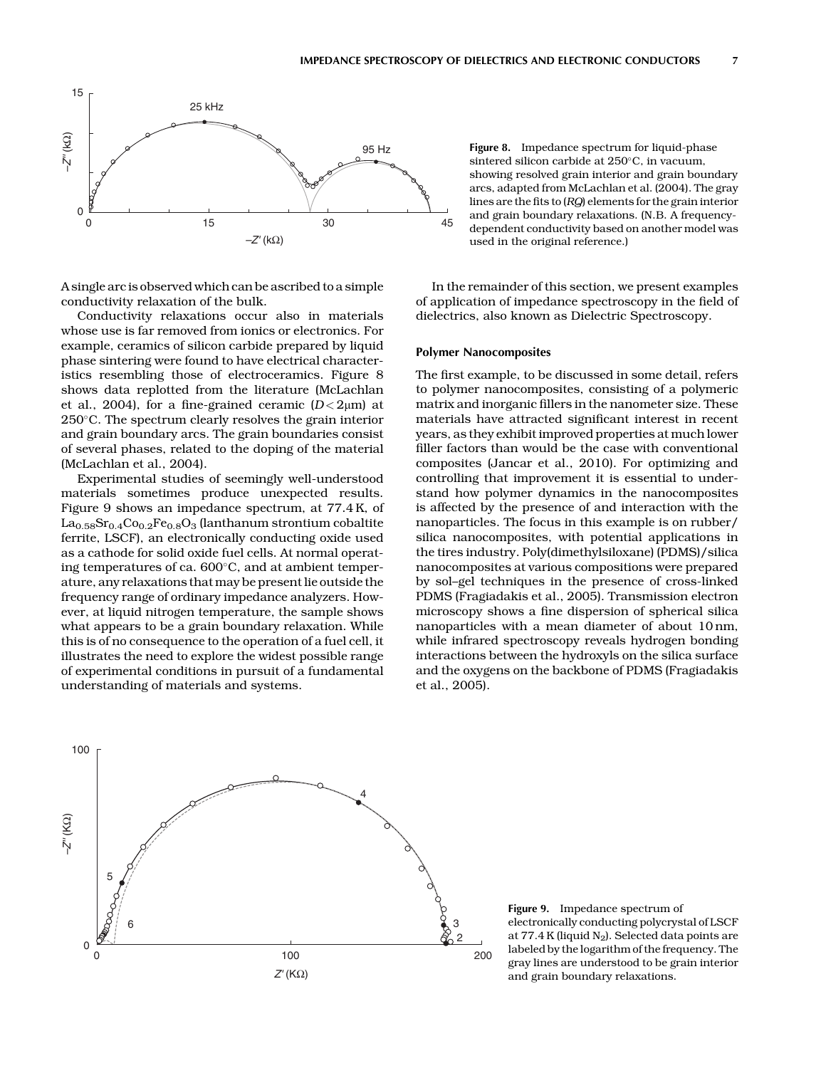

A single arc is observed which can be ascribed to a simple conductivity relaxation of the bulk.

Conductivity relaxations occur also in materials whose use is far removed from ionics or electronics. For example, ceramics of silicon carbide prepared by liquid phase sintering were found to have electrical characteristics resembling those of electroceramics. Figure 8 shows data replotted from the literature (McLachlan et al., 2004), for a fine-grained ceramic  $(D < 2\mu m)$  at  $250^{\circ}$ C. The spectrum clearly resolves the grain interior and grain boundary arcs. The grain boundaries consist of several phases, related to the doping of the material (McLachlan et al., 2004).

Experimental studies of seemingly well-understood materials sometimes produce unexpected results. Figure 9 shows an impedance spectrum, at 77.4 K, of  $La<sub>0.58</sub>Sr<sub>0.4</sub>Co<sub>0.2</sub>Fe<sub>0.8</sub>O<sub>3</sub>$  (lanthanum strontium cobaltite ferrite, LSCF), an electronically conducting oxide used as a cathode for solid oxide fuel cells. At normal operating temperatures of ca.  $600^{\circ}$ C, and at ambient temperature, any relaxations that may be present lie outside the frequency range of ordinary impedance analyzers. However, at liquid nitrogen temperature, the sample shows what appears to be a grain boundary relaxation. While this is of no consequence to the operation of a fuel cell, it illustrates the need to explore the widest possible range of experimental conditions in pursuit of a fundamental understanding of materials and systems.

Figure 8. Impedance spectrum for liquid-phase sintered silicon carbide at  $250^{\circ}$ C, in vacuum, showing resolved grain interior and grain boundary arcs, adapted from McLachlan et al. (2004). The gray lines are the fits to (RQ) elements for the grain interior and grain boundary relaxations. (N.B. A frequencydependent conductivity based on another model was used in the original reference.)

In the remainder of this section, we present examples of application of impedance spectroscopy in the field of dielectrics, also known as Dielectric Spectroscopy.

#### Polymer Nanocomposites

The first example, to be discussed in some detail, refers to polymer nanocomposites, consisting of a polymeric matrix and inorganic fillers in the nanometer size. These materials have attracted significant interest in recent years, as they exhibit improved properties at much lower filler factors than would be the case with conventional composites (Jancar et al., 2010). For optimizing and controlling that improvement it is essential to understand how polymer dynamics in the nanocomposites is affected by the presence of and interaction with the nanoparticles. The focus in this example is on rubber/ silica nanocomposites, with potential applications in the tires industry. Poly(dimethylsiloxane) (PDMS)/silica nanocomposites at various compositions were prepared by sol–gel techniques in the presence of cross-linked PDMS (Fragiadakis et al., 2005). Transmission electron microscopy shows a fine dispersion of spherical silica nanoparticles with a mean diameter of about 10 nm, while infrared spectroscopy reveals hydrogen bonding interactions between the hydroxyls on the silica surface and the oxygens on the backbone of PDMS (Fragiadakis et al., 2005).



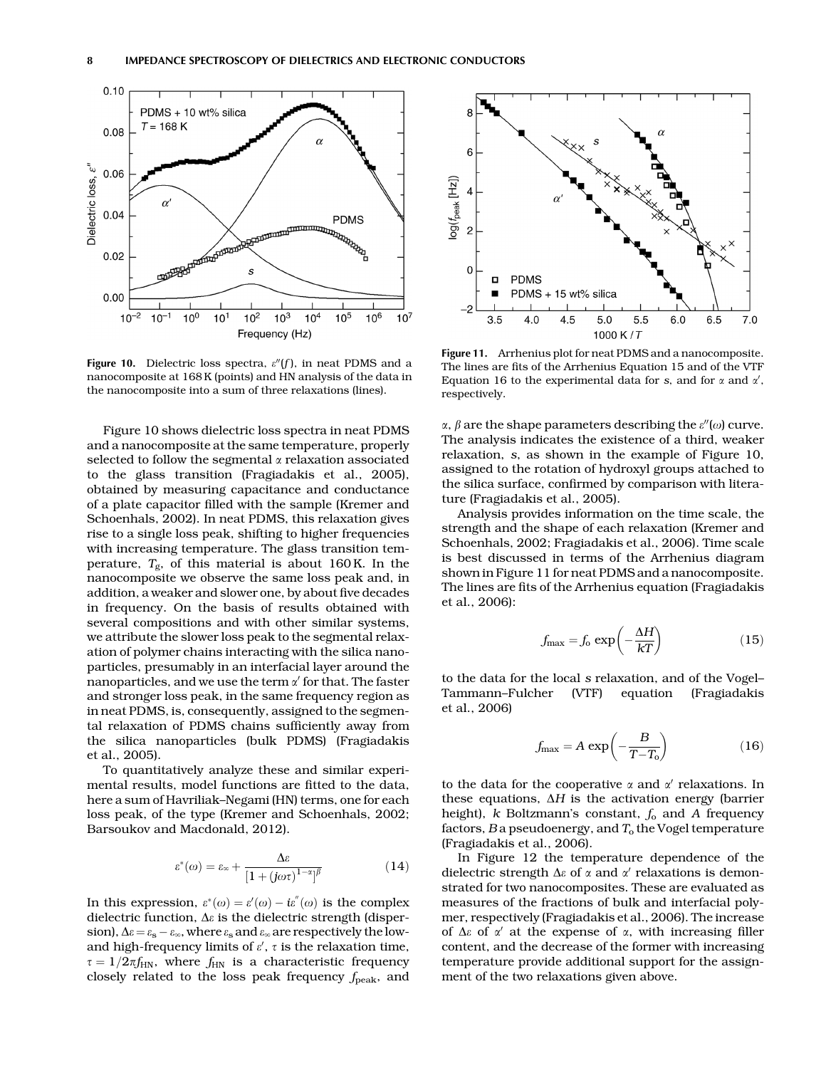

Figure 10. Dielectric loss spectra,  $\varepsilon''(f)$ , in neat PDMS and a nanocomposite at 168 K (points) and HN analysis of the data in the nanocomposite into a sum of three relaxations (lines).

Figure 10 shows dielectric loss spectra in neat PDMS and a nanocomposite at the same temperature, properly selected to follow the segmental  $\alpha$  relaxation associated to the glass transition (Fragiadakis et al., 2005), obtained by measuring capacitance and conductance of a plate capacitor filled with the sample (Kremer and Schoenhals, 2002). In neat PDMS, this relaxation gives rise to a single loss peak, shifting to higher frequencies with increasing temperature. The glass transition temperature,  $T_{\rm g}$ , of this material is about 160 K. In the nanocomposite we observe the same loss peak and, in addition, a weaker and slower one, by about five decades in frequency. On the basis of results obtained with several compositions and with other similar systems, we attribute the slower loss peak to the segmental relaxation of polymer chains interacting with the silica nanoparticles, presumably in an interfacial layer around the nanoparticles, and we use the term  $\alpha'$  for that. The faster and stronger loss peak, in the same frequency region as in neat PDMS, is, consequently, assigned to the segmental relaxation of PDMS chains sufficiently away from the silica nanoparticles (bulk PDMS) (Fragiadakis et al., 2005).

To quantitatively analyze these and similar experimental results, model functions are fitted to the data, here a sum of Havriliak–Negami (HN) terms, one for each loss peak, of the type (Kremer and Schoenhals, 2002; Barsoukov and Macdonald, 2012).

$$
\varepsilon^*(\omega) = \varepsilon_{\infty} + \frac{\Delta \varepsilon}{[1 + (j\omega\tau)^{1-\alpha}]^{\beta}}
$$
(14)

In this expression,  $\varepsilon^*(\omega) = \varepsilon'(\omega) - i\varepsilon^*(\omega)$  is the complex<br>dielectric function. As is the dielectric strength (disperdielectric function,  $\Delta \varepsilon$  is the dielectric strength (dispersion),  $\Delta \varepsilon = \varepsilon_{\rm s} - \varepsilon_{\infty}$ , where  $\varepsilon_{\rm s}$  and  $\varepsilon_{\infty}$  are respectively the lowand high-frequency limits of  $\varepsilon',\,\tau$  is the relaxation time,  $\tau = 1/2\pi f_{HN}$ , where  $f_{HN}$  is a characteristic frequency closely related to the loss peak frequency  $f_{\text{peak}}$ , and



Figure 11. Arrhenius plot for neat PDMS and a nanocomposite. The lines are fits of the Arrhenius Equation 15 and of the VTF Equation 16 to the experimental data for  $s$ , and for  $\alpha$  and  $\alpha',$ respectively.

 $\alpha$ ,  $\beta$  are the shape parameters describing the  $\varepsilon''(\omega)$  curve. The analysis indicates the existence of a third, weaker relaxation, s, as shown in the example of Figure 10, assigned to the rotation of hydroxyl groups attached to the silica surface, confirmed by comparison with literature (Fragiadakis et al., 2005).

Analysis provides information on the time scale, the strength and the shape of each relaxation (Kremer and Schoenhals, 2002; Fragiadakis et al., 2006). Time scale is best discussed in terms of the Arrhenius diagram shown in Figure 11 for neat PDMS and a nanocomposite. The lines are fits of the Arrhenius equation (Fragiadakis et al., 2006):

$$
f_{\text{max}} = f_o \exp\left(-\frac{\Delta H}{kT}\right) \tag{15}
$$

to the data for the local s relaxation, and of the Vogel– Tammann–Fulcher (VTF) equation (Fragiadakis et al., 2006)

$$
f_{\text{max}} = A \exp\left(-\frac{B}{T - T_0}\right) \tag{16}
$$

to the data for the cooperative  $\alpha$  and  $\alpha'$  relaxations. In these equations,  $\Delta H$  is the activation energy (barrier height),  $k$  Boltzmann's constant,  $f_0$  and A frequency factors, B a pseudoenergy, and  $T_0$  the Vogel temperature (Fragiadakis et al., 2006).

In Figure 12 the temperature dependence of the dielectric strength  $\Delta \varepsilon$  of  $\alpha$  and  $\alpha'$  relaxations is demonstrated for two nanocomposites. These are evaluated as measures of the fractions of bulk and interfacial polymer, respectively (Fragiadakis et al., 2006). The increase of  $\Delta \varepsilon$  of  $\alpha'$  at the expense of  $\alpha$ , with increasing filler content, and the decrease of the former with increasing temperature provide additional support for the assignment of the two relaxations given above.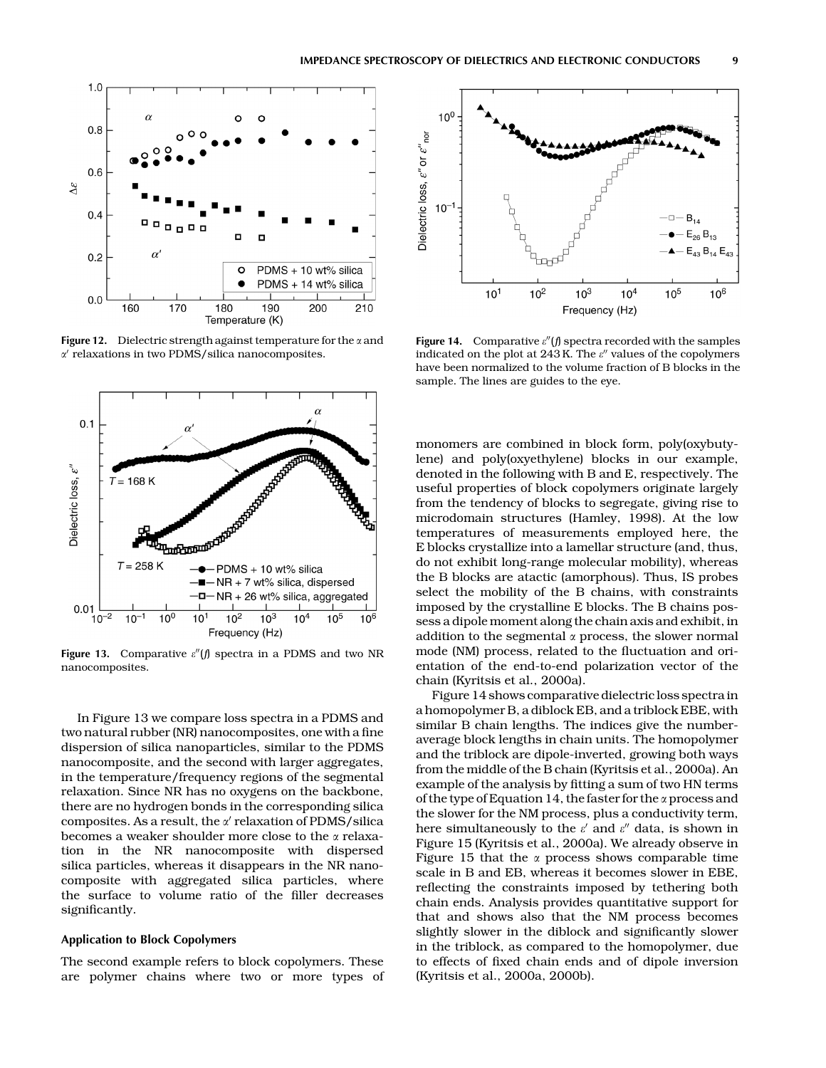

Figure 12. Dielectric strength against temperature for the  $\alpha$  and  $\alpha'$  relaxations in two PDMS/silica nanocomposites.



Figure 13. Comparative  $\varepsilon''(f)$  spectra in a PDMS and two NR nanocomposites.

In Figure 13 we compare loss spectra in a PDMS and two natural rubber (NR) nanocomposites, one with a fine dispersion of silica nanoparticles, similar to the PDMS nanocomposite, and the second with larger aggregates, in the temperature/frequency regions of the segmental relaxation. Since NR has no oxygens on the backbone, there are no hydrogen bonds in the corresponding silica composites. As a result, the  $\alpha'$  relaxation of PDMS/silica becomes a weaker shoulder more close to the  $\alpha$  relaxation in the NR nanocomposite with dispersed silica particles, whereas it disappears in the NR nanocomposite with aggregated silica particles, where the surface to volume ratio of the filler decreases significantly.

#### Application to Block Copolymers

The second example refers to block copolymers. These are polymer chains where two or more types of



Figure 14. Comparative  $\varepsilon''(f)$  spectra recorded with the samples indicated on the plot at 243 K. The  $\varepsilon''$  values of the copolymers have been normalized to the volume fraction of B blocks in the sample. The lines are guides to the eye.

monomers are combined in block form, poly(oxybutylene) and poly(oxyethylene) blocks in our example, denoted in the following with B and E, respectively. The useful properties of block copolymers originate largely from the tendency of blocks to segregate, giving rise to microdomain structures (Hamley, 1998). At the low temperatures of measurements employed here, the E blocks crystallize into a lamellar structure (and, thus, do not exhibit long-range molecular mobility), whereas the B blocks are atactic (amorphous). Thus, IS probes select the mobility of the B chains, with constraints imposed by the crystalline E blocks. The B chains possess a dipole moment along the chain axis and exhibit, in addition to the segmental  $\alpha$  process, the slower normal mode (NM) process, related to the fluctuation and orientation of the end-to-end polarization vector of the chain (Kyritsis et al., 2000a).

Figure 14 shows comparative dielectric loss spectra in a homopolymer B, a diblock EB, and a triblock EBE, with similar B chain lengths. The indices give the numberaverage block lengths in chain units. The homopolymer and the triblock are dipole-inverted, growing both ways from the middle of the B chain (Kyritsis et al., 2000a). An example of the analysis by fitting a sum of two HN terms of the type of Equation 14, the faster for the  $\alpha$  process and the slower for the NM process, plus a conductivity term, here simultaneously to the  $\varepsilon'$  and  $\varepsilon''$  data, is shown in Figure 15 (Kyritsis et al., 2000a). We already observe in Figure 15 that the  $\alpha$  process shows comparable time scale in B and EB, whereas it becomes slower in EBE, reflecting the constraints imposed by tethering both chain ends. Analysis provides quantitative support for that and shows also that the NM process becomes slightly slower in the diblock and significantly slower in the triblock, as compared to the homopolymer, due to effects of fixed chain ends and of dipole inversion (Kyritsis et al., 2000a, 2000b).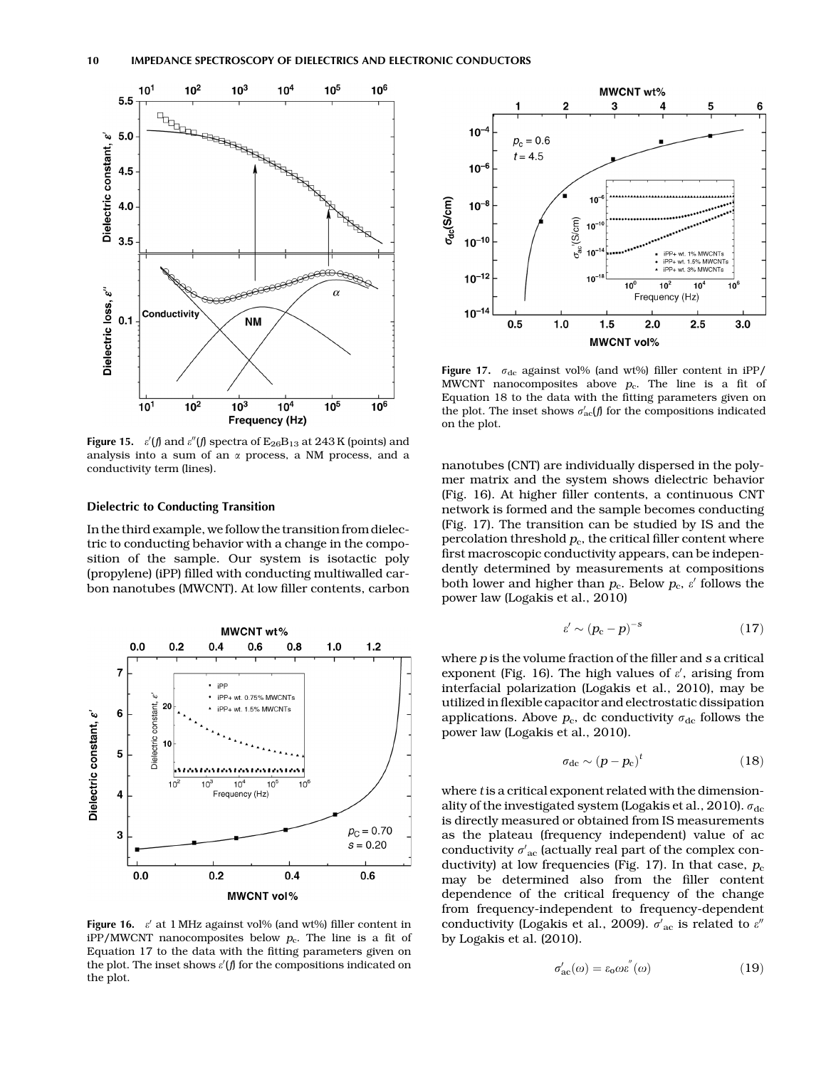

**Figure 15.**  $\varepsilon'$ ( $f$ ) and  $\varepsilon''$ ( $f$ ) spectra of  $\mathrm{E_{26}B_{13}}$  at  $243\,\mathrm{K}$  (points) and analysis into a sum of an  $\alpha$  process, a NM process, and a conductivity term (lines).

#### Dielectric to Conducting Transition

In the third example, we follow the transition from dielectric to conducting behavior with a change in the composition of the sample. Our system is isotactic poly (propylene) (iPP) filled with conducting multiwalled carbon nanotubes (MWCNT). At low filler contents, carbon



Figure 16.  $\varepsilon'$  at 1 MHz against vol% (and wt%) filler content in iPP/MWCNT nanocomposites below  $p_c$ . The line is a fit of Equation 17 to the data with the fitting parameters given on the plot. The inset shows  $\varepsilon'(\text{\sf f})$  for the compositions indicated on the plot.



Figure 17.  $\sigma_{dc}$  against vol% (and wt%) filler content in iPP/ MWCNT nanocomposites above  $p_c$ . The line is a fit of Equation 18 to the data with the fitting parameters given on the plot. The inset shows  $\sigma'_{\rm ac}(f)$  for the compositions indicated on the plot.

nanotubes (CNT) are individually dispersed in the polymer matrix and the system shows dielectric behavior (Fig. 16). At higher filler contents, a continuous CNT network is formed and the sample becomes conducting (Fig. 17). The transition can be studied by IS and the percolation threshold  $p_c$ , the critical filler content where first macroscopic conductivity appears, can be independently determined by measurements at compositions both lower and higher than  $p_c$ . Below  $p_c$ ,  $\varepsilon'$  follows the power law (Logakis et al., 2010)

$$
\varepsilon' \sim (p_c - p)^{-s} \tag{17}
$$

where  $p$  is the volume fraction of the filler and  $s$  a critical exponent (Fig. 16). The high values of  $\varepsilon'$ , arising from interfacial polarization (Logakis et al., 2010), may be utilized in flexible capacitor and electrostatic dissipation applications. Above  $p_c$ , dc conductivity  $\sigma_{dc}$  follows the power law (Logakis et al., 2010).

$$
\sigma_{\rm dc} \sim (p - p_{\rm c})^t \tag{18}
$$

where t is a critical exponent related with the dimensionality of the investigated system (Logakis et al., 2010).  $\sigma_{\rm dc}$ is directly measured or obtained from IS measurements as the plateau (frequency independent) value of ac conductivity  ${\sigma'}_{\rm ac}$  (actually real part of the complex conductivity) at low frequencies (Fig. 17). In that case,  $p_c$ may be determined also from the filler content dependence of the critical frequency of the change from frequency-independent to frequency-dependent conductivity (Logakis et al., 2009).  ${\sigma'}_{\rm ac}$  is related to  ${\scriptstyle {\scriptstyle \cal E}}''$ by Logakis et al. (2010).

$$
\sigma'_{\rm ac}(\omega) = \varepsilon_0 \omega \varepsilon^{''}(\omega) \tag{19}
$$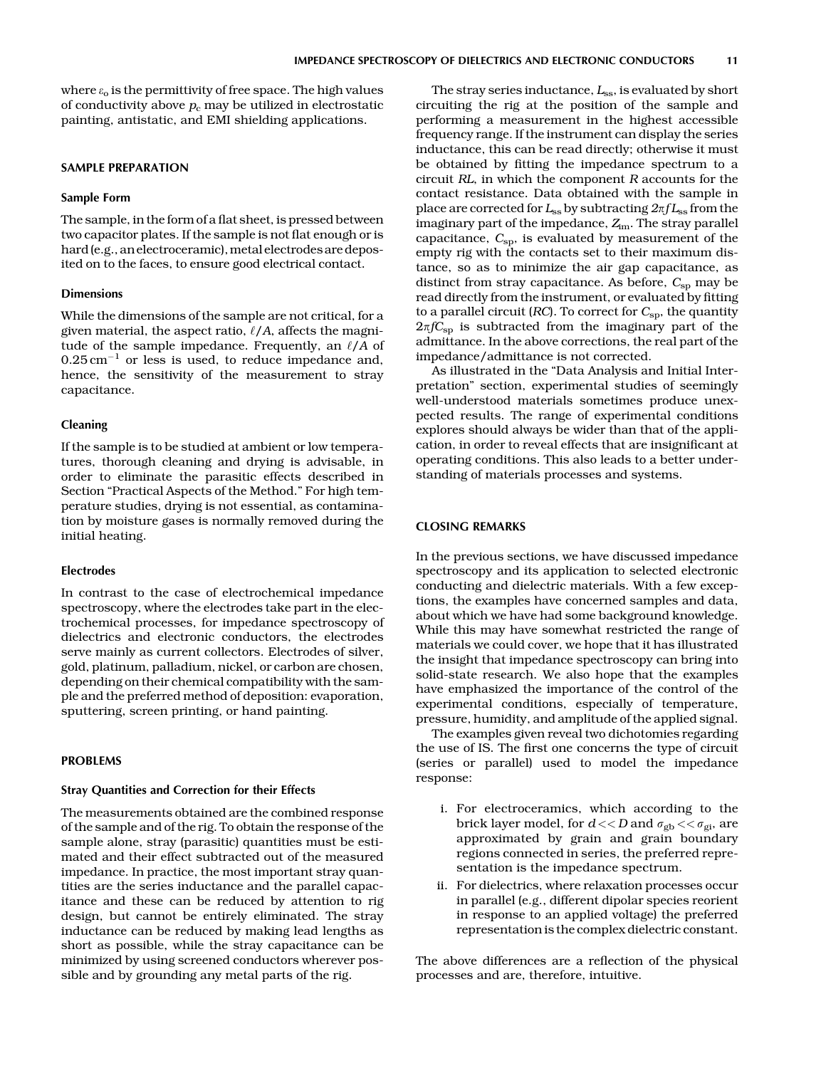where  $\varepsilon_0$  is the permittivity of free space. The high values of conductivity above  $p_c$  may be utilized in electrostatic painting, antistatic, and EMI shielding applications.

## SAMPLE PREPARATION

## Sample Form

The sample, in the form of a flat sheet, is pressed between two capacitor plates. If the sample is not flat enough or is hard (e.g., an electroceramic), metal electrodes are deposited on to the faces, to ensure good electrical contact.

#### Dimensions

While the dimensions of the sample are not critical, for a given material, the aspect ratio,  $\ell/A$ , affects the magnitude of the sample impedance. Frequently, an  $\ell/A$  of  $0.25 \text{ cm}^{-1}$  or less is used, to reduce impedance and, hence, the sensitivity of the measurement to stray capacitance.

#### Cleaning

If the sample is to be studied at ambient or low temperatures, thorough cleaning and drying is advisable, in order to eliminate the parasitic effects described in Section "Practical Aspects of the Method." For high temperature studies, drying is not essential, as contamination by moisture gases is normally removed during the initial heating.

#### Electrodes

In contrast to the case of electrochemical impedance spectroscopy, where the electrodes take part in the electrochemical processes, for impedance spectroscopy of dielectrics and electronic conductors, the electrodes serve mainly as current collectors. Electrodes of silver, gold, platinum, palladium, nickel, or carbon are chosen, depending on their chemical compatibility with the sample and the preferred method of deposition: evaporation, sputtering, screen printing, or hand painting.

#### PROBLEMS

#### Stray Quantities and Correction for their Effects

The measurements obtained are the combined response of the sample and of the rig. To obtain the response of the sample alone, stray (parasitic) quantities must be estimated and their effect subtracted out of the measured impedance. In practice, the most important stray quantities are the series inductance and the parallel capacitance and these can be reduced by attention to rig design, but cannot be entirely eliminated. The stray inductance can be reduced by making lead lengths as short as possible, while the stray capacitance can be minimized by using screened conductors wherever possible and by grounding any metal parts of the rig.

The stray series inductance,  $L_{ss}$ , is evaluated by short circuiting the rig at the position of the sample and performing a measurement in the highest accessible frequency range. If the instrument can display the series inductance, this can be read directly; otherwise it must be obtained by fitting the impedance spectrum to a circuit RL, in which the component R accounts for the contact resistance. Data obtained with the sample in place are corrected for  $L_{ss}$  by subtracting  $2\pi f L_{ss}$  from the imaginary part of the impedance,  $Z_{\text{im}}$ . The stray parallel capacitance,  $C_{\rm sp}$ , is evaluated by measurement of the empty rig with the contacts set to their maximum distance, so as to minimize the air gap capacitance, as distinct from stray capacitance. As before,  $C_{sp}$  may be read directly from the instrument, or evaluated by fitting to a parallel circuit (RC). To correct for  $C_{\rm sp}$ , the quantity  $2\pi fC_{\rm sp}$  is subtracted from the imaginary part of the admittance. In the above corrections, the real part of the impedance/admittance is not corrected.

As illustrated in the "Data Analysis and Initial Interpretation" section, experimental studies of seemingly well-understood materials sometimes produce unexpected results. The range of experimental conditions explores should always be wider than that of the application, in order to reveal effects that are insignificant at operating conditions. This also leads to a better understanding of materials processes and systems.

## CLOSING REMARKS

In the previous sections, we have discussed impedance spectroscopy and its application to selected electronic conducting and dielectric materials. With a few exceptions, the examples have concerned samples and data, about which we have had some background knowledge. While this may have somewhat restricted the range of materials we could cover, we hope that it has illustrated the insight that impedance spectroscopy can bring into solid-state research. We also hope that the examples have emphasized the importance of the control of the experimental conditions, especially of temperature, pressure, humidity, and amplitude of the applied signal.

The examples given reveal two dichotomies regarding the use of IS. The first one concerns the type of circuit (series or parallel) used to model the impedance response:

- i. For electroceramics, which according to the brick layer model, for  $d \ll D$  and  $\sigma_{gb} \ll \sigma_{gi}$ , are approximated by grain and grain boundary regions connected in series, the preferred representation is the impedance spectrum.
- ii. For dielectrics, where relaxation processes occur in parallel (e.g., different dipolar species reorient in response to an applied voltage) the preferred representation is the complex dielectric constant.

The above differences are a reflection of the physical processes and are, therefore, intuitive.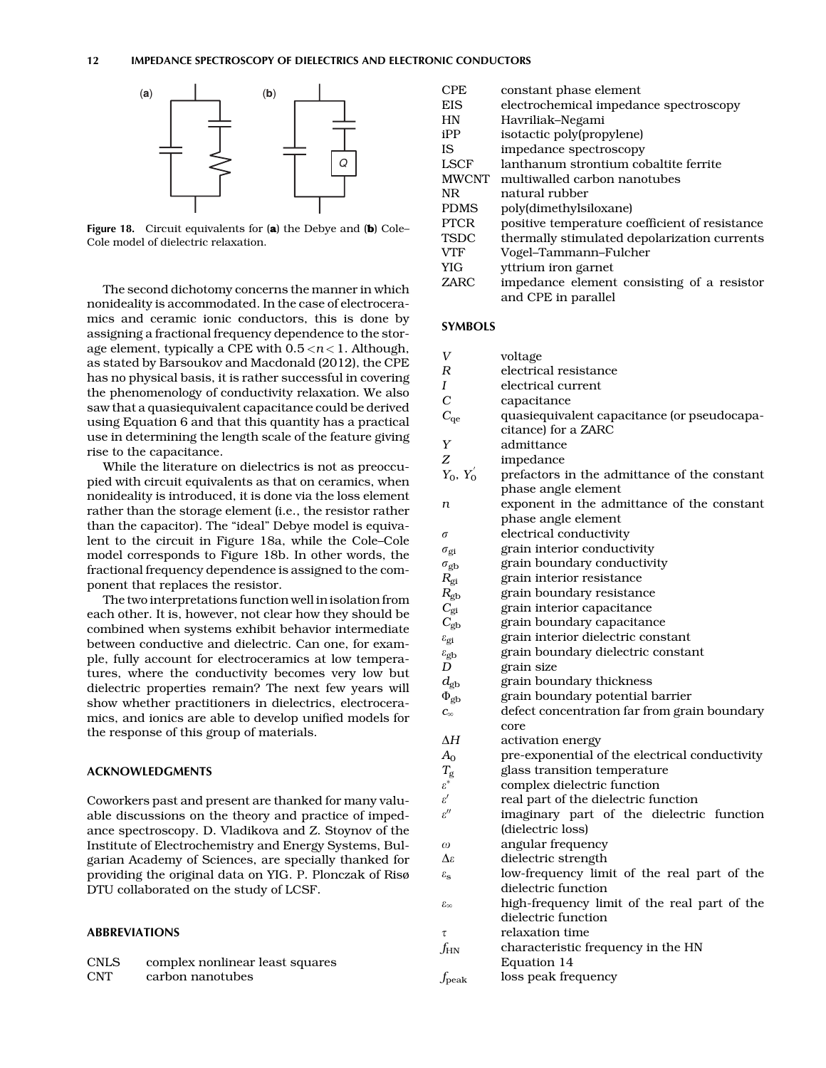

Figure 18. Circuit equivalents for (a) the Debye and (b) Cole-Cole model of dielectric relaxation.

The second dichotomy concerns the manner in which nonideality is accommodated. In the case of electroceramics and ceramic ionic conductors, this is done by assigning a fractional frequency dependence to the storage element, typically a CPE with  $0.5 < n < 1$ . Although, as stated by Barsoukov and Macdonald (2012), the CPE has no physical basis, it is rather successful in covering the phenomenology of conductivity relaxation. We also saw that a quasiequivalent capacitance could be derived using Equation 6 and that this quantity has a practical use in determining the length scale of the feature giving rise to the capacitance.

While the literature on dielectrics is not as preoccupied with circuit equivalents as that on ceramics, when nonideality is introduced, it is done via the loss element rather than the storage element (i.e., the resistor rather than the capacitor). The "ideal" Debye model is equivalent to the circuit in Figure 18a, while the Cole–Cole model corresponds to Figure 18b. In other words, the fractional frequency dependence is assigned to the component that replaces the resistor.

The two interpretations function well in isolation from each other. It is, however, not clear how they should be combined when systems exhibit behavior intermediate between conductive and dielectric. Can one, for example, fully account for electroceramics at low temperatures, where the conductivity becomes very low but dielectric properties remain? The next few years will show whether practitioners in dielectrics, electroceramics, and ionics are able to develop unified models for the response of this group of materials.

#### ACKNOWLEDGMENTS

Coworkers past and present are thanked for many valuable discussions on the theory and practice of impedance spectroscopy. D. Vladikova and Z. Stoynov of the Institute of Electrochemistry and Energy Systems, Bulgarian Academy of Sciences, are specially thanked for providing the original data on YIG. P. Plonczak of Risø DTU collaborated on the study of LCSF.

## ABBREVIATIONS

| <b>CNLS</b> | complex nonlinear least squares |
|-------------|---------------------------------|
| <b>CNT</b>  | carbon nanotubes                |

| <b>CPE</b>   | constant phase element                         |
|--------------|------------------------------------------------|
| <b>EIS</b>   | electrochemical impedance spectroscopy         |
| HN           | Havriliak-Negami                               |
| iPP          | isotactic poly(propylene)                      |
| IS.          | impedance spectroscopy                         |
| <b>LSCF</b>  | lanthanum strontium cobaltite ferrite          |
| <b>MWCNT</b> | multiwalled carbon nanotubes                   |
| NR           | natural rubber                                 |
| <b>PDMS</b>  | poly(dimethylsiloxane)                         |
| <b>PTCR</b>  | positive temperature coefficient of resistance |
| <b>TSDC</b>  | thermally stimulated depolarization currents   |
| <b>VTF</b>   | Vogel-Tammann-Fulcher                          |
| YIG          | yttrium iron garnet                            |
| ZARC         | impedance element consisting of a resistor     |
|              | and CPE in parallel                            |

## SYMBOLS

| voltage                                        |
|------------------------------------------------|
| electrical resistance                          |
| electrical current                             |
| capacitance                                    |
| quasiequivalent capacitance (or pseudocapa-    |
| citance) for a ZARC                            |
| admittance                                     |
| impedance                                      |
| prefactors in the admittance of the constant   |
| phase angle element                            |
| exponent in the admittance of the constant     |
| phase angle element                            |
| electrical conductivity                        |
| grain interior conductivity                    |
| grain boundary conductivity                    |
| grain interior resistance                      |
| grain boundary resistance                      |
| grain interior capacitance                     |
| grain boundary capacitance                     |
| grain interior dielectric constant             |
| grain boundary dielectric constant             |
| grain size                                     |
| grain boundary thickness                       |
| grain boundary potential barrier               |
| defect concentration far from grain boundary   |
| core                                           |
| activation energy                              |
| pre-exponential of the electrical conductivity |
| glass transition temperature                   |
| complex dielectric function                    |
| real part of the dielectric function           |
| imaginary part of the dielectric function      |
| (dielectric loss)                              |
| angular frequency                              |
| dielectric strength                            |
| low-frequency limit of the real part of the    |
| dielectric function                            |
| high-frequency limit of the real part of the   |
| dielectric function                            |
| relaxation time                                |
| characteristic frequency in the HN             |
| Equation 14                                    |
| loss peak frequency                            |
|                                                |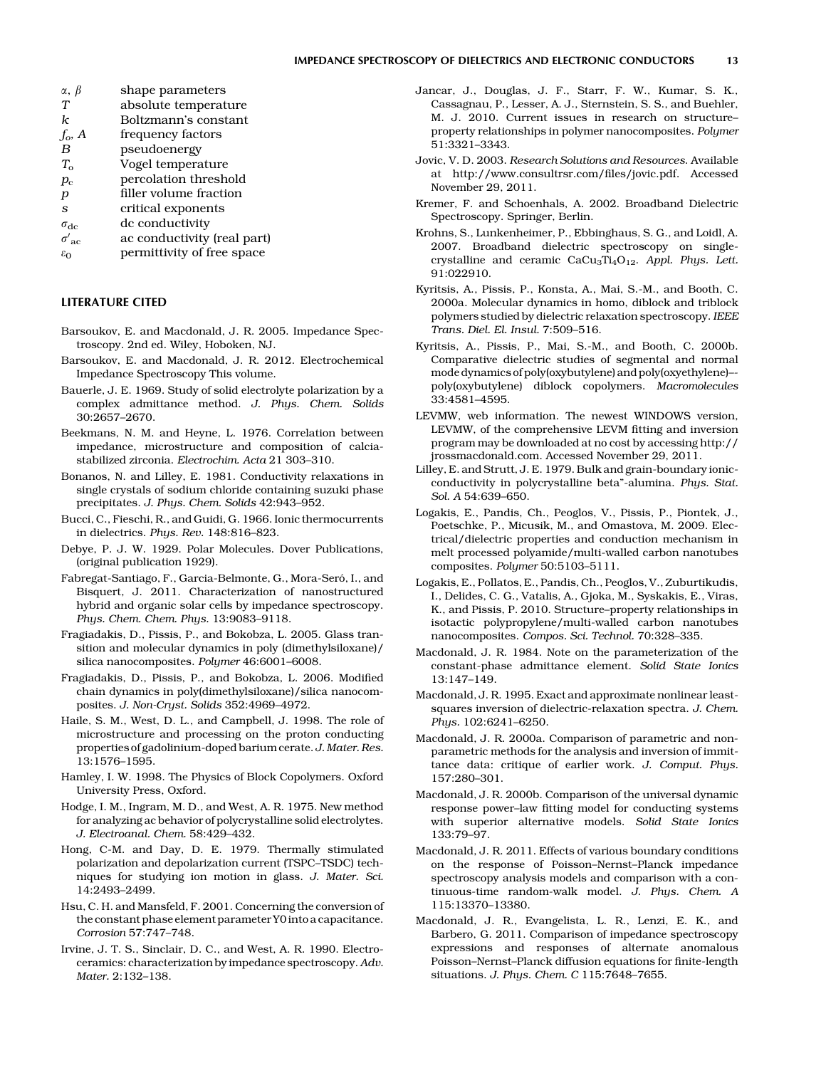| shape parameters            |
|-----------------------------|
| absolute temperature        |
| Boltzmann's constant        |
| frequency factors           |
| pseudoenergy                |
| Vogel temperature           |
| percolation threshold       |
| filler volume fraction      |
| critical exponents          |
| de conductivity             |
| ac conductivity (real part) |
| permittivity of free space  |
|                             |

## LITERATURE CITED

- Barsoukov, E. and Macdonald, J. R. 2005. Impedance Spectroscopy. 2nd ed. Wiley, Hoboken, NJ.
- Barsoukov, E. and Macdonald, J. R. 2012. Electrochemical Impedance Spectroscopy This volume.
- Bauerle, J. E. 1969. Study of solid electrolyte polarization by a complex admittance method. J. Phys. Chem. Solids 30:2657–2670.
- Beekmans, N. M. and Heyne, L. 1976. Correlation between impedance, microstructure and composition of calciastabilized zirconia. Electrochim. Acta 21 303–310.
- Bonanos, N. and Lilley, E. 1981. Conductivity relaxations in single crystals of sodium chloride containing suzuki phase precipitates. J. Phys. Chem. Solids 42:943–952.
- Bucci, C., Fieschi, R., and Guidi, G. 1966. Ionic thermocurrents in dielectrics. Phys. Rev. 148:816–823.
- Debye, P. J. W. 1929. Polar Molecules. Dover Publications, (original publication 1929).
- Fabregat-Santiago, F., Garcia-Belmonte, G., Mora-Seró, I., and Bisquert, J. 2011. Characterization of nanostructured hybrid and organic solar cells by impedance spectroscopy. Phys. Chem. Chem. Phys. 13:9083–9118.
- Fragiadakis, D., Pissis, P., and Bokobza, L. 2005. Glass transition and molecular dynamics in poly (dimethylsiloxane)/ silica nanocomposites. Polymer 46:6001-6008.
- Fragiadakis, D., Pissis, P., and Bokobza, L. 2006. Modified chain dynamics in poly(dimethylsiloxane)/silica nanocomposites. J. Non-Cryst. Solids 352:4969–4972.
- Haile, S. M., West, D. L., and Campbell, J. 1998. The role of microstructure and processing on the proton conducting properties of gadolinium-doped barium cerate. J. Mater. Res. 13:1576–1595.
- Hamley, I. W. 1998. The Physics of Block Copolymers. Oxford University Press, Oxford.
- Hodge, I. M., Ingram, M. D., and West, A. R. 1975. New method for analyzing ac behavior of polycrystalline solid electrolytes. J. Electroanal. Chem. 58:429–432.
- Hong, C-M. and Day, D. E. 1979. Thermally stimulated polarization and depolarization current (TSPC–TSDC) techniques for studying ion motion in glass. J. Mater. Sci. 14:2493–2499.
- Hsu, C. H. and Mansfeld, F. 2001. Concerning the conversion of the constant phase element parameter Y0 into a capacitance. Corrosion 57:747–748.
- Irvine, J. T. S., Sinclair, D. C., and West, A. R. 1990. Electroceramics: characterization by impedance spectroscopy.Adv. Mater. 2:132–138.
- Jancar, J., Douglas, J. F., Starr, F. W., Kumar, S. K., Cassagnau, P., Lesser, A. J., Sternstein, S. S., and Buehler, M. J. 2010. Current issues in research on structure– property relationships in polymer nanocomposites. Polymer 51:3321–3343.
- Jovic, V. D. 2003. Research Solutions and Resources. Available at http://www.consultrsr.com/files/jovic.pdf. Accessed November 29, 2011.
- Kremer, F. and Schoenhals, A. 2002. Broadband Dielectric Spectroscopy. Springer, Berlin.
- Krohns, S., Lunkenheimer, P., Ebbinghaus, S. G., and Loidl, A. 2007. Broadband dielectric spectroscopy on singlecrystalline and ceramic CaCu<sub>3</sub>Ti<sub>4</sub>O<sub>12</sub>. Appl. Phys. Lett. 91:022910.
- Kyritsis, A., Pissis, P., Konsta, A., Mai, S.-M., and Booth, C. 2000a. Molecular dynamics in homo, diblock and triblock polymers studied by dielectric relaxation spectroscopy. IEEE Trans. Diel. El. Insul. 7:509–516.
- Kyritsis, A., Pissis, P., Mai, S.-M., and Booth, C. 2000b. Comparative dielectric studies of segmental and normal mode dynamics of poly(oxybutylene) and poly(oxyethylene)– poly(oxybutylene) diblock copolymers. Macromolecules 33:4581–4595.
- LEVMW, web information. The newest WINDOWS version, LEVMW, of the comprehensive LEVM fitting and inversion program may be downloaded at no cost by accessing http:// jrossmacdonald.com. Accessed November 29, 2011.
- Lilley, E. and Strutt, J. E. 1979. Bulk and grain-boundary ionicconductivity in polycrystalline beta"-alumina. Phys. Stat. Sol. A 54:639–650.
- Logakis, E., Pandis, Ch., Peoglos, V., Pissis, P., Piontek, J., Poetschke, P., Micusik, M., and Omastova, M. 2009. Electrical/dielectric properties and conduction mechanism in melt processed polyamide/multi-walled carbon nanotubes composites. Polymer 50:5103–5111.
- Logakis, E., Pollatos, E., Pandis, Ch., Peoglos, V., Zuburtikudis, I., Delides, C. G., Vatalis, A., Gjoka, M., Syskakis, E., Viras, K., and Pissis, P. 2010. Structure–property relationships in isotactic polypropylene/multi-walled carbon nanotubes nanocomposites. Compos. Sci. Technol. 70:328–335.
- Macdonald, J. R. 1984. Note on the parameterization of the constant-phase admittance element. Solid State Ionics 13:147–149.
- Macdonald, J. R. 1995. Exact and approximate nonlinear leastsquares inversion of dielectric-relaxation spectra. J. Chem. Phys. 102:6241–6250.
- Macdonald, J. R. 2000a. Comparison of parametric and nonparametric methods for the analysis and inversion of immittance data: critique of earlier work. J. Comput. Phys. 157:280–301.
- Macdonald, J. R. 2000b. Comparison of the universal dynamic response power–law fitting model for conducting systems with superior alternative models. Solid State Ionics 133:79–97.
- Macdonald, J. R. 2011. Effects of various boundary conditions on the response of Poisson–Nernst–Planck impedance spectroscopy analysis models and comparison with a continuous-time random-walk model. J. Phys. Chem. A 115:13370–13380.
- Macdonald, J. R., Evangelista, L. R., Lenzi, E. K., and Barbero, G. 2011. Comparison of impedance spectroscopy expressions and responses of alternate anomalous Poisson–Nernst–Planck diffusion equations for finite-length situations. J. Phys. Chem. C 115:7648–7655.